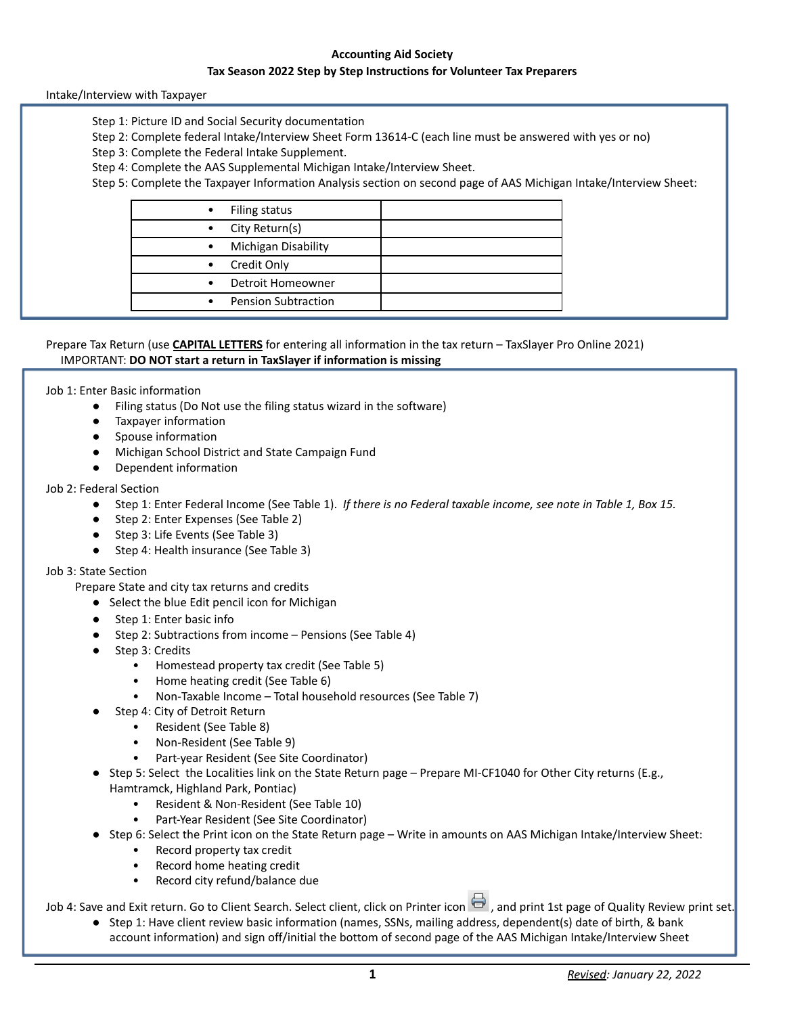### **Accounting Aid Society**

### **Tax Season 2022 Step by Step Instructions for Volunteer Tax Preparers**

Intake/Interview with Taxpayer

- Step 1: Picture ID and Social Security documentation
- Step 2: Complete federal Intake/Interview Sheet Form 13614-C (each line must be answered with yes or no)
- Step 3: Complete the Federal Intake Supplement.
- Step 4: Complete the AAS Supplemental Michigan Intake/Interview Sheet.
- Step 5: Complete the Taxpayer Information Analysis section on second page of AAS Michigan Intake/Interview Sheet:

|           | Filing status              |  |
|-----------|----------------------------|--|
|           | City Return(s)             |  |
| $\bullet$ | Michigan Disability        |  |
| $\bullet$ | Credit Only                |  |
| $\bullet$ | Detroit Homeowner          |  |
|           | <b>Pension Subtraction</b> |  |
|           |                            |  |

## Prepare Tax Return (use **CAPITAL LETTERS** for entering all information in the tax return – TaxSlayer Pro Online 2021) IMPORTANT: **DO NOT start a return in TaxSlayer if information is missing**

#### Job 1: Enter Basic information

- Filing status (Do Not use the filing status wizard in the software)
- Taxpayer information
- Spouse information
- Michigan School District and State Campaign Fund
- Dependent information

#### Job 2: Federal Section

- Step 1: Enter Federal Income (See Table 1). *If there is no Federal taxable income, see note in Table 1, Box 15.*
- Step 2: Enter Expenses (See Table 2)
- Step 3: Life Events (See Table 3)
- Step 4: Health insurance (See Table 3)

#### Job 3: State Section

Prepare State and city tax returns and credits

- Select the blue Edit pencil icon for Michigan
- Step 1: Enter basic info
- Step 2: Subtractions from income Pensions (See Table 4)
- Step 3: Credits
	- Homestead property tax credit (See Table 5)
	- Home heating credit (See Table 6)
	- Non-Taxable Income Total household resources (See Table 7)
- Step 4: City of Detroit Return
	- Resident (See Table 8)
	- Non-Resident (See Table 9)
		- Part-year Resident (See Site Coordinator)
- Step 5: Select the Localities link on the State Return page Prepare MI-CF1040 for Other City returns (E.g., Hamtramck, Highland Park, Pontiac)
	- Resident & Non-Resident (See Table 10)
	- Part-Year Resident (See Site Coordinator)
- Step 6: Select the Print icon on the State Return page Write in amounts on AAS Michigan Intake/Interview Sheet:
	- Record property tax credit
	- Record home heating credit
	- Record city refund/balance due

Job 4: Save and Exit return. Go to Client Search. Select client, click on Printer icon  $\Box$ , and print 1st page of Quality Review print set.

● Step 1: Have client review basic information (names, SSNs, mailing address, dependent(s) date of birth, & bank account information) and sign off/initial the bottom of second page of the AAS Michigan Intake/Interview Sheet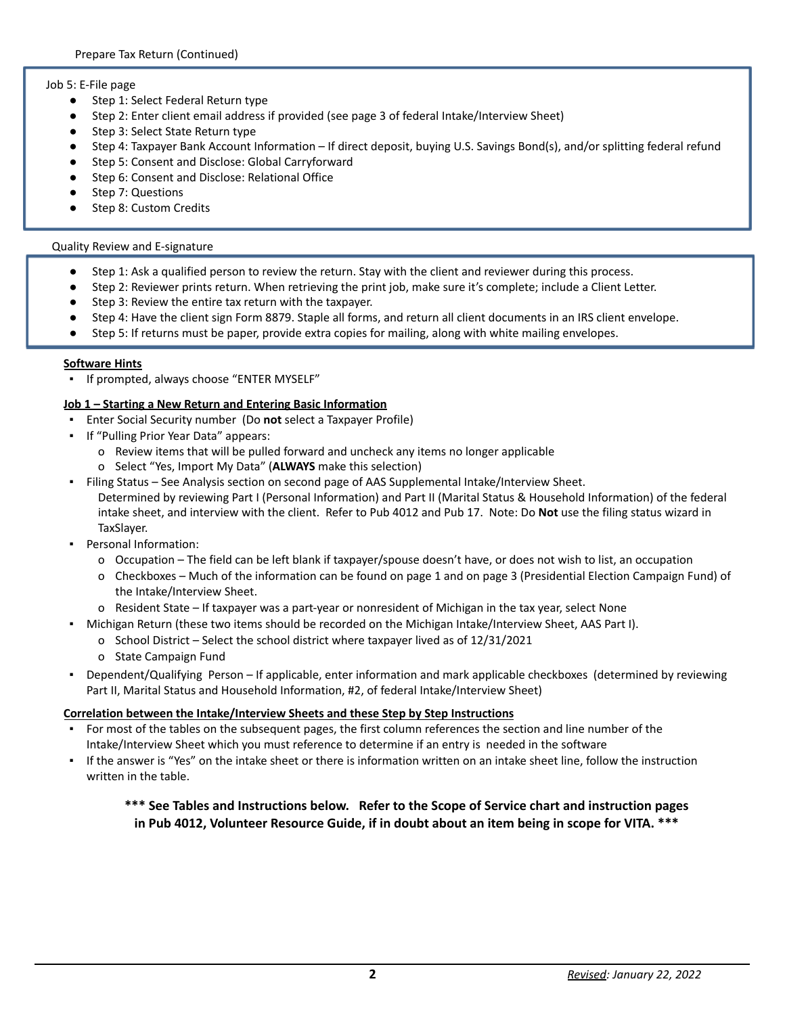## Job 5: E-File page

- Step 1: Select Federal Return type
- Step 2: Enter client email address if provided (see page 3 of federal Intake/Interview Sheet)
- Step 3: Select State Return type
- Step 4: Taxpayer Bank Account Information If direct deposit, buying U.S. Savings Bond(s), and/or splitting federal refund
- Step 5: Consent and Disclose: Global Carryforward
- Step 6: Consent and Disclose: Relational Office
- Step 7: Questions
- Step 8: Custom Credits

### Quality Review and E-signature

- Step 1: Ask a qualified person to review the return. Stay with the client and reviewer during this process.
- Step 2: Reviewer prints return. When retrieving the print job, make sure it's complete; include a Client Letter.
- Step 3: Review the entire tax return with the taxpayer.
- Step 4: Have the client sign Form 8879. Staple all forms, and return all client documents in an IRS client envelope.
- Step 5: If returns must be paper, provide extra copies for mailing, along with white mailing envelopes.

### **Software Hints**

▪ If prompted, always choose "ENTER MYSELF"

## **Job 1 – Starting a New Return and Entering Basic Information**

- Enter Social Security number (Do **not** select a Taxpayer Profile)
- If "Pulling Prior Year Data" appears:
	- o Review items that will be pulled forward and uncheck any items no longer applicable
	- o Select "Yes, Import My Data" (**ALWAYS** make this selection)
- Filing Status See Analysis section on second page of AAS Supplemental Intake/Interview Sheet. Determined by reviewing Part I (Personal Information) and Part II (Marital Status & Household Information) of the federal intake sheet, and interview with the client. Refer to Pub 4012 and Pub 17. Note: Do **Not** use the filing status wizard in TaxSlayer.
- Personal Information:
	- o Occupation The field can be left blank if taxpayer/spouse doesn't have, or does not wish to list, an occupation
	- o Checkboxes Much of the information can be found on page 1 and on page 3 (Presidential Election Campaign Fund) of the Intake/Interview Sheet.
	- o Resident State If taxpayer was a part-year or nonresident of Michigan in the tax year, select None
	- Michigan Return (these two items should be recorded on the Michigan Intake/Interview Sheet, AAS Part I).
		- o School District Select the school district where taxpayer lived as of 12/31/2021
		- o State Campaign Fund
- Dependent/Qualifying Person If applicable, enter information and mark applicable checkboxes (determined by reviewing Part II, Marital Status and Household Information, #2, of federal Intake/Interview Sheet)

### **Correlation between the Intake/Interview Sheets and these Step by Step Instructions**

- For most of the tables on the subsequent pages, the first column references the section and line number of the Intake/Interview Sheet which you must reference to determine if an entry is needed in the software
- If the answer is "Yes" on the intake sheet or there is information written on an intake sheet line, follow the instruction written in the table.

# **\*\*\* See Tables and Instructions below. Refer to the Scope of Service chart and instruction pages in Pub 4012, Volunteer Resource Guide, if in doubt about an item being in scope for VITA. \*\*\***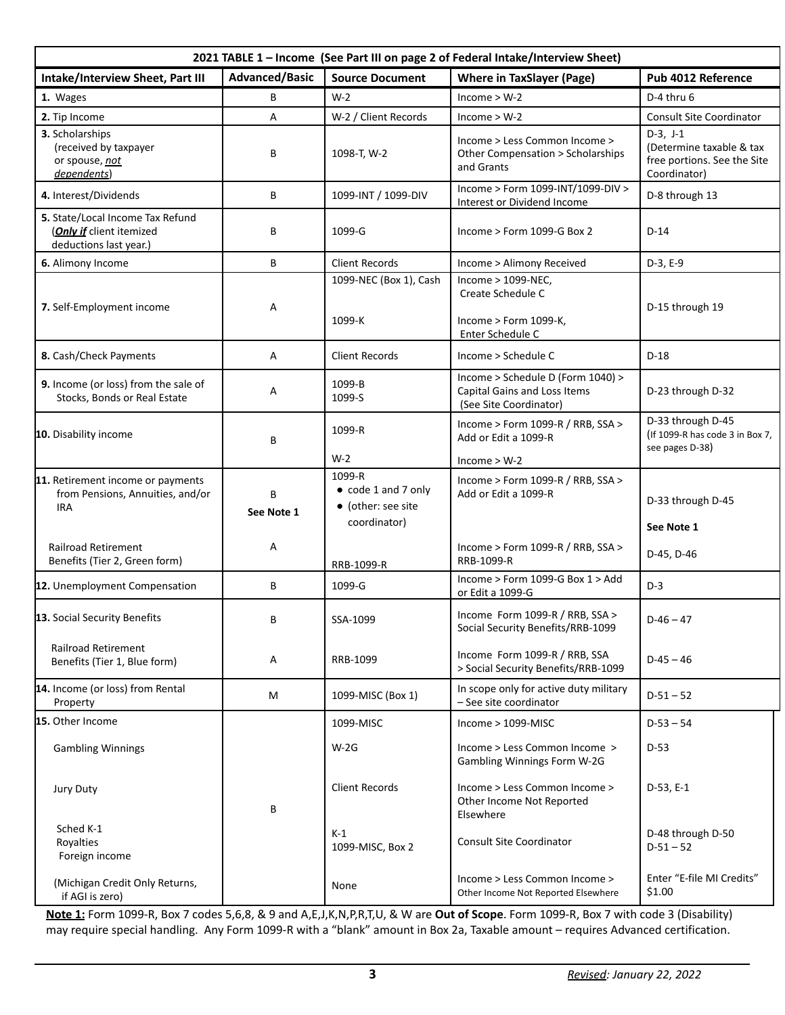| 2021 TABLE 1 - Income (See Part III on page 2 of Federal Intake/Interview Sheet)               |                       |                                                           |                                                                                             |                                                                                       |
|------------------------------------------------------------------------------------------------|-----------------------|-----------------------------------------------------------|---------------------------------------------------------------------------------------------|---------------------------------------------------------------------------------------|
| Intake/Interview Sheet, Part III                                                               | <b>Advanced/Basic</b> | <b>Source Document</b>                                    | <b>Where in TaxSlayer (Page)</b>                                                            | Pub 4012 Reference                                                                    |
| 1. Wages                                                                                       | В                     | $W-2$                                                     | $Income > W-2$                                                                              | D-4 thru 6                                                                            |
| 2. Tip Income                                                                                  | А                     | W-2 / Client Records                                      | $Income > W-2$                                                                              | <b>Consult Site Coordinator</b>                                                       |
| 3. Scholarships<br>(received by taxpayer<br>or spouse, not<br>dependents)                      | В                     | 1098-T, W-2                                               | Income > Less Common Income ><br>Other Compensation > Scholarships<br>and Grants            | $D-3, J-1$<br>(Determine taxable & tax<br>free portions. See the Site<br>Coordinator) |
| 4. Interest/Dividends                                                                          | В                     | 1099-INT / 1099-DIV                                       | Income > Form 1099-INT/1099-DIV ><br>Interest or Dividend Income                            | D-8 through 13                                                                        |
| 5. State/Local Income Tax Refund<br>( <b>Only if</b> client itemized<br>deductions last year.) | В                     | 1099-G                                                    | Income > Form 1099-G Box 2                                                                  | $D-14$                                                                                |
| 6. Alimony Income                                                                              | В                     | <b>Client Records</b>                                     | Income > Alimony Received                                                                   | $D-3, E-9$                                                                            |
|                                                                                                |                       | 1099-NEC (Box 1), Cash                                    | Income > 1099-NEC,<br>Create Schedule C                                                     |                                                                                       |
| 7. Self-Employment income                                                                      | Α                     | 1099-K                                                    | Income > Form 1099-K,<br>Enter Schedule C                                                   | D-15 through 19                                                                       |
| 8. Cash/Check Payments                                                                         | Α                     | <b>Client Records</b>                                     | Income > Schedule C                                                                         | $D-18$                                                                                |
| 9. Income (or loss) from the sale of<br>Stocks, Bonds or Real Estate                           | А                     | 1099-B<br>1099-S                                          | Income > Schedule D (Form 1040) ><br>Capital Gains and Loss Items<br>(See Site Coordinator) | D-23 through D-32                                                                     |
| 10. Disability income                                                                          | В                     | 1099-R                                                    | Income > Form 1099-R / RRB, SSA ><br>Add or Edit a 1099-R                                   | D-33 through D-45<br>(If 1099-R has code 3 in Box 7,<br>see pages D-38)               |
|                                                                                                |                       | $W-2$<br>1099-R                                           | $Income > W-2$                                                                              |                                                                                       |
| 11. Retirement income or payments<br>from Pensions, Annuities, and/or<br><b>IRA</b>            | В<br>See Note 1       | • code 1 and 7 only<br>• (other: see site<br>coordinator) | Income > Form 1099-R / RRB, $SSA$ ><br>Add or Edit a 1099-R                                 | D-33 through D-45                                                                     |
| <b>Railroad Retirement</b><br>Benefits (Tier 2, Green form)                                    | А                     | RRB-1099-R                                                | Income > Form 1099-R / RRB, SSA ><br>RRB-1099-R                                             | See Note 1<br>D-45, D-46                                                              |
| 12. Unemployment Compensation                                                                  | В                     | 1099-G                                                    | Income > Form 1099-G Box 1 > Add<br>or Edit a 1099-G                                        | $D-3$                                                                                 |
| 13. Social Security Benefits                                                                   | B                     | SSA-1099                                                  | Income Form 1099-R / RRB, SSA ><br>Social Security Benefits/RRB-1099                        | $D-46 - 47$                                                                           |
| <b>Railroad Retirement</b><br>Benefits (Tier 1, Blue form)                                     | Α                     | RRB-1099                                                  | Income Form 1099-R / RRB, SSA<br>> Social Security Benefits/RRB-1099                        | $D-45 - 46$                                                                           |
| 14. Income (or loss) from Rental<br>Property                                                   | M                     | 1099-MISC (Box 1)                                         | In scope only for active duty military<br>- See site coordinator                            | $D-51 - 52$                                                                           |
| 15. Other Income                                                                               |                       | 1099-MISC                                                 | $Income > 1099-MISC$                                                                        | $D-53 - 54$                                                                           |
| <b>Gambling Winnings</b>                                                                       |                       | $W-2G$                                                    | Income > Less Common Income ><br>Gambling Winnings Form W-2G                                | $D-53$                                                                                |
| Jury Duty                                                                                      | В                     | <b>Client Records</b>                                     | Income > Less Common Income ><br>Other Income Not Reported<br>Elsewhere                     | $D-53, E-1$                                                                           |
| Sched K-1<br>Royalties<br>Foreign income                                                       |                       | $K-1$<br>1099-MISC, Box 2                                 | Consult Site Coordinator                                                                    | D-48 through D-50<br>$D-51 - 52$                                                      |
| (Michigan Credit Only Returns,<br>if AGI is zero)                                              |                       | None                                                      | Income > Less Common Income ><br>Other Income Not Reported Elsewhere                        | Enter "E-file MI Credits"<br>\$1.00                                                   |

**Note 1:** Form 1099-R, Box 7 codes 5,6,8, & 9 and A,E,J,K,N,P,R,T,U, & W are **Out of Scope**. Form 1099-R, Box 7 with code 3 (Disability) may require special handling. Any Form 1099-R with a "blank" amount in Box 2a, Taxable amount – requires Advanced certification.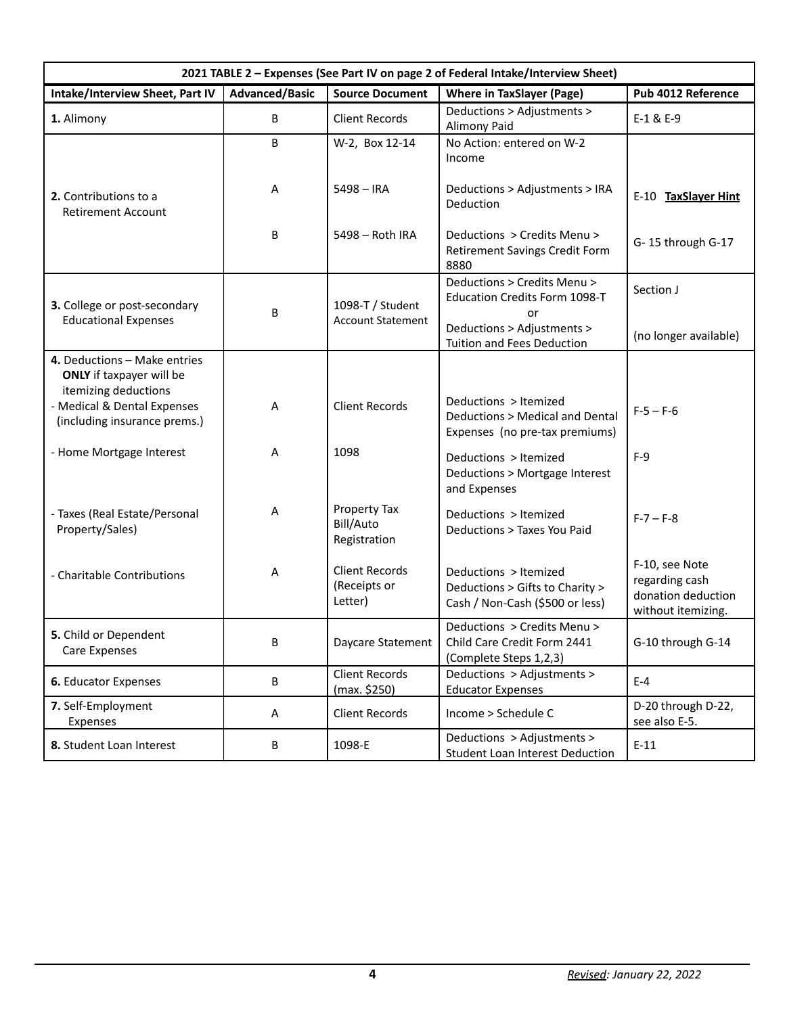| 2021 TABLE 2 - Expenses (See Part IV on page 2 of Federal Intake/Interview Sheet)       |                       |                                                  |                                                                                             |                                                                              |
|-----------------------------------------------------------------------------------------|-----------------------|--------------------------------------------------|---------------------------------------------------------------------------------------------|------------------------------------------------------------------------------|
| Intake/Interview Sheet, Part IV                                                         | <b>Advanced/Basic</b> | <b>Source Document</b>                           | <b>Where in TaxSlayer (Page)</b>                                                            | Pub 4012 Reference                                                           |
| 1. Alimony                                                                              | B                     | <b>Client Records</b>                            | Deductions > Adjustments ><br><b>Alimony Paid</b>                                           | $E-1$ & $E-9$                                                                |
|                                                                                         | B                     | W-2, Box 12-14                                   | No Action: entered on W-2<br>Income                                                         |                                                                              |
| 2. Contributions to a<br><b>Retirement Account</b>                                      | Α                     | $5498 - IRA$                                     | Deductions > Adjustments > IRA<br>Deduction                                                 | E-10 TaxSlayer Hint                                                          |
|                                                                                         | B                     | 5498 - Roth IRA                                  | Deductions > Credits Menu ><br>Retirement Savings Credit Form<br>8880                       | G-15 through G-17                                                            |
| 3. College or post-secondary                                                            |                       | 1098-T / Student                                 | Deductions > Credits Menu ><br><b>Education Credits Form 1098-T</b>                         | Section J                                                                    |
| <b>Educational Expenses</b>                                                             | B                     | <b>Account Statement</b>                         | or<br>Deductions > Adjustments ><br>Tuition and Fees Deduction                              | (no longer available)                                                        |
| 4. Deductions - Make entries<br><b>ONLY</b> if taxpayer will be<br>itemizing deductions |                       |                                                  |                                                                                             |                                                                              |
| - Medical & Dental Expenses<br>(including insurance prems.)                             | Α                     | <b>Client Records</b>                            | Deductions > Itemized<br>Deductions > Medical and Dental<br>Expenses (no pre-tax premiums)  | $F-5 - F-6$                                                                  |
| - Home Mortgage Interest                                                                | Α                     | 1098                                             | Deductions > Itemized<br>Deductions > Mortgage Interest<br>and Expenses                     | $F-9$                                                                        |
| - Taxes (Real Estate/Personal<br>Property/Sales)                                        | Α                     | Property Tax<br>Bill/Auto<br>Registration        | Deductions > Itemized<br>Deductions > Taxes You Paid                                        | $F - 7 - F - 8$                                                              |
| - Charitable Contributions                                                              | Α                     | <b>Client Records</b><br>(Receipts or<br>Letter) | Deductions > Itemized<br>Deductions > Gifts to Charity ><br>Cash / Non-Cash (\$500 or less) | F-10, see Note<br>regarding cash<br>donation deduction<br>without itemizing. |
| 5. Child or Dependent<br>Care Expenses                                                  | $\sf B$               | Daycare Statement                                | Deductions > Credits Menu ><br>Child Care Credit Form 2441<br>(Complete Steps 1,2,3)        | G-10 through G-14                                                            |
| 6. Educator Expenses                                                                    | B                     | <b>Client Records</b><br>(max. \$250)            | Deductions > Adjustments ><br><b>Educator Expenses</b>                                      | $E-4$                                                                        |
| 7. Self-Employment<br>Expenses                                                          | Α                     | <b>Client Records</b>                            | Income > Schedule C                                                                         | D-20 through D-22,<br>see also E-5.                                          |
| 8. Student Loan Interest                                                                | B                     | 1098-E                                           | Deductions > Adjustments ><br>Student Loan Interest Deduction                               | $E-11$                                                                       |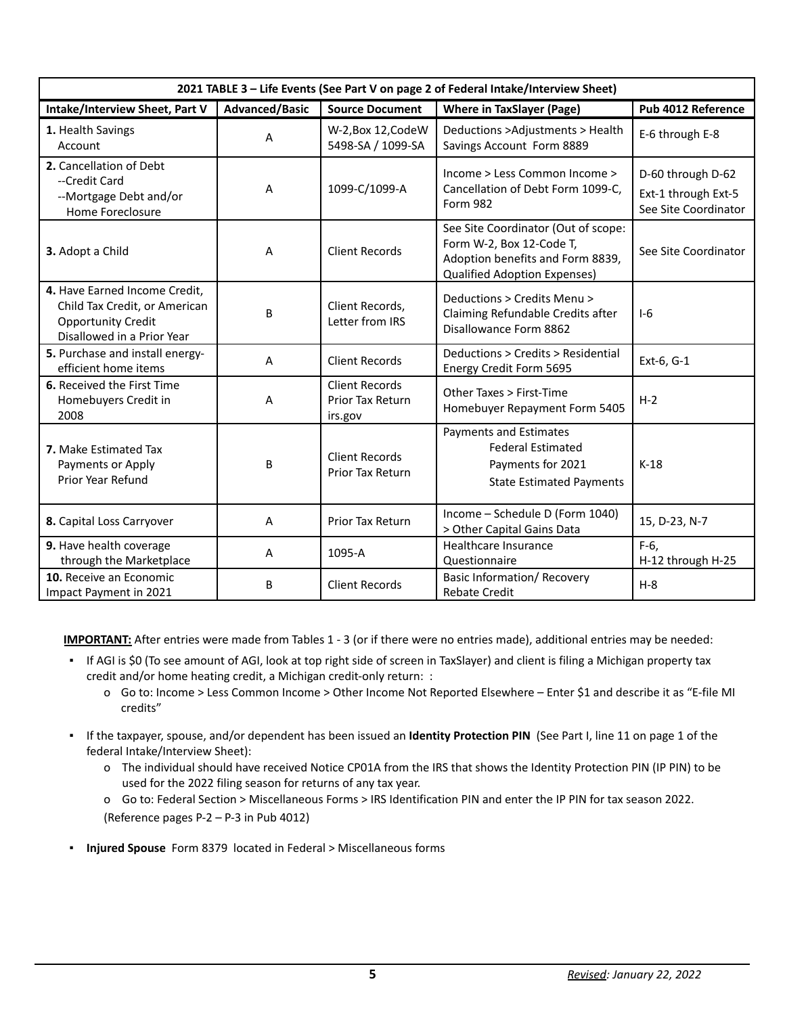| 2021 TABLE 3 - Life Events (See Part V on page 2 of Federal Intake/Interview Sheet)                                       |                       |                                                      |                                                                                                                                            |                                                                  |
|---------------------------------------------------------------------------------------------------------------------------|-----------------------|------------------------------------------------------|--------------------------------------------------------------------------------------------------------------------------------------------|------------------------------------------------------------------|
| Intake/Interview Sheet, Part V                                                                                            | <b>Advanced/Basic</b> | <b>Source Document</b>                               | <b>Where in TaxSlayer (Page)</b>                                                                                                           | Pub 4012 Reference                                               |
| 1. Health Savings<br>Account                                                                                              | A                     | W-2, Box 12, Code W<br>5498-SA / 1099-SA             | Deductions >Adjustments > Health<br>Savings Account Form 8889                                                                              | E-6 through E-8                                                  |
| 2. Cancellation of Debt<br>--Credit Card<br>--Mortgage Debt and/or<br>Home Foreclosure                                    | A                     | 1099-C/1099-A                                        | Income > Less Common Income ><br>Cancellation of Debt Form 1099-C,<br><b>Form 982</b>                                                      | D-60 through D-62<br>Ext-1 through Ext-5<br>See Site Coordinator |
| 3. Adopt a Child                                                                                                          | A                     | <b>Client Records</b>                                | See Site Coordinator (Out of scope:<br>Form W-2, Box 12-Code T,<br>Adoption benefits and Form 8839,<br><b>Qualified Adoption Expenses)</b> | See Site Coordinator                                             |
| 4. Have Earned Income Credit,<br>Child Tax Credit, or American<br><b>Opportunity Credit</b><br>Disallowed in a Prior Year | B                     | Client Records,<br>Letter from IRS                   | Deductions > Credits Menu ><br>Claiming Refundable Credits after<br>Disallowance Form 8862                                                 | $1-6$                                                            |
| 5. Purchase and install energy-<br>efficient home items                                                                   | A                     | <b>Client Records</b>                                | Deductions > Credits > Residential<br>Energy Credit Form 5695                                                                              | Ext-6, G-1                                                       |
| 6. Received the First Time<br>Homebuyers Credit in<br>2008                                                                | Α                     | <b>Client Records</b><br>Prior Tax Return<br>irs.gov | Other Taxes > First-Time<br>Homebuyer Repayment Form 5405                                                                                  | $H-2$                                                            |
| <b>7.</b> Make Estimated Tax<br>Payments or Apply<br>Prior Year Refund                                                    | В                     | <b>Client Records</b><br>Prior Tax Return            | Payments and Estimates<br><b>Federal Estimated</b><br>Payments for 2021<br><b>State Estimated Payments</b>                                 | $K-18$                                                           |
| 8. Capital Loss Carryover                                                                                                 | A                     | Prior Tax Return                                     | Income - Schedule D (Form 1040)<br>> Other Capital Gains Data                                                                              | 15, D-23, N-7                                                    |
| 9. Have health coverage<br>through the Marketplace                                                                        | A                     | 1095-A                                               | Healthcare Insurance<br>Questionnaire                                                                                                      | $F-6$ ,<br>H-12 through H-25                                     |
| 10. Receive an Economic<br>Impact Payment in 2021                                                                         | B                     | <b>Client Records</b>                                | <b>Basic Information/ Recovery</b><br><b>Rebate Credit</b>                                                                                 | $H-8$                                                            |

**IMPORTANT:** After entries were made from Tables 1 - 3 (or if there were no entries made), additional entries may be needed:

- If AGI is \$0 (To see amount of AGI, look at top right side of screen in TaxSlayer) and client is filing a Michigan property tax credit and/or home heating credit, a Michigan credit-only return: :
	- o Go to: Income > Less Common Income > Other Income Not Reported Elsewhere Enter \$1 and describe it as "E-file MI credits"
- If the taxpayer, spouse, and/or dependent has been issued an **Identity Protection PIN** (See Part I, line 11 on page 1 of the federal Intake/Interview Sheet):
	- o The individual should have received Notice CP01A from the IRS that shows the Identity Protection PIN (IP PIN) to be used for the 2022 filing season for returns of any tax year.
	- o Go to: Federal Section > Miscellaneous Forms > IRS Identification PIN and enter the IP PIN for tax season 2022. (Reference pages P-2 – P-3 in Pub 4012)
- **Injured Spouse** Form 8379 located in Federal > Miscellaneous forms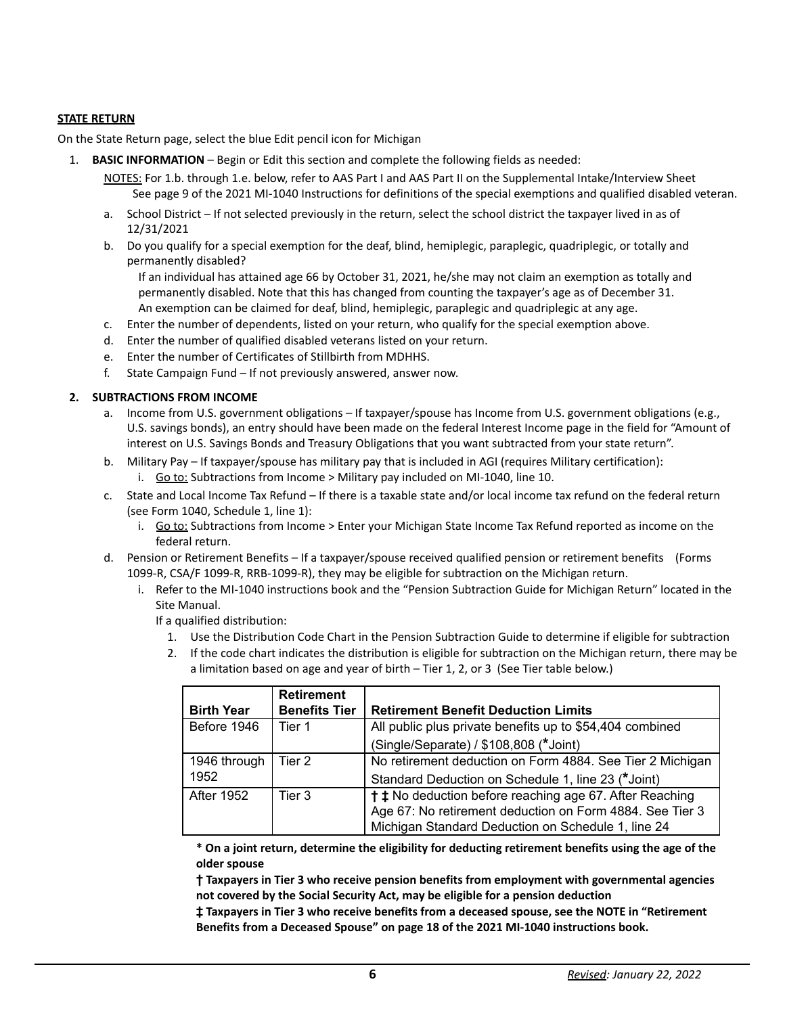# **STATE RETURN**

On the State Return page, select the blue Edit pencil icon for Michigan

- 1. **BASIC INFORMATION** Begin or Edit this section and complete the following fields as needed:
	- NOTES: For 1.b. through 1.e. below, refer to AAS Part I and AAS Part II on the Supplemental Intake/Interview Sheet See page 9 of the 2021 MI-1040 Instructions for definitions of the special exemptions and qualified disabled veteran.
	- a. School District If not selected previously in the return, select the school district the taxpayer lived in as of 12/31/2021
	- b. Do you qualify for a special exemption for the deaf, blind, hemiplegic, paraplegic, quadriplegic, or totally and permanently disabled?

If an individual has attained age 66 by October 31, 2021, he/she may not claim an exemption as totally and permanently disabled. Note that this has changed from counting the taxpayer's age as of December 31. An exemption can be claimed for deaf, blind, hemiplegic, paraplegic and quadriplegic at any age.

- c. Enter the number of dependents, listed on your return, who qualify for the special exemption above.
- d. Enter the number of qualified disabled veterans listed on your return.
- e. Enter the number of Certificates of Stillbirth from MDHHS.
- f. State Campaign Fund If not previously answered, answer now.

## **2. SUBTRACTIONS FROM INCOME**

- a. Income from U.S. government obligations If taxpayer/spouse has Income from U.S. government obligations (e.g., U.S. savings bonds), an entry should have been made on the federal Interest Income page in the field for "Amount of interest on U.S. Savings Bonds and Treasury Obligations that you want subtracted from your state return".
- b. Military Pay If taxpayer/spouse has military pay that is included in AGI (requires Military certification): i. Go to: Subtractions from Income > Military pay included on MI-1040, line 10.
- c. State and Local Income Tax Refund If there is a taxable state and/or local income tax refund on the federal return (see Form 1040, Schedule 1, line 1):
	- i. Go to: Subtractions from Income > Enter your Michigan State Income Tax Refund reported as income on the federal return.
- d. Pension or Retirement Benefits If a taxpayer/spouse received qualified pension or retirement benefits (Forms 1099-R, CSA/F 1099-R, RRB-1099-R), they may be eligible for subtraction on the Michigan return.
	- i. Refer to the MI-1040 instructions book and the "Pension Subtraction Guide for Michigan Return" located in the Site Manual.

If a qualified distribution:

- 1. Use the Distribution Code Chart in the Pension Subtraction Guide to determine if eligible for subtraction
- 2. If the code chart indicates the distribution is eligible for subtraction on the Michigan return, there may be a limitation based on age and year of birth – Tier 1, 2, or 3 (See Tier table below.)

| <b>Birth Year</b> | <b>Retirement</b><br><b>Benefits Tier</b> | <b>Retirement Benefit Deduction Limits</b>                                |
|-------------------|-------------------------------------------|---------------------------------------------------------------------------|
| Before 1946       | Tier 1                                    | All public plus private benefits up to \$54,404 combined                  |
|                   |                                           | (Single/Separate) / \$108,808 (*Joint)                                    |
| 1946 through      | Tier 2                                    | No retirement deduction on Form 4884. See Tier 2 Michigan                 |
| 1952              |                                           | Standard Deduction on Schedule 1, line 23 (*Joint)                        |
| After 1952        | Tier 3                                    | <sup>†</sup> <b>‡</b> No deduction before reaching age 67. After Reaching |
|                   |                                           | Age 67: No retirement deduction on Form 4884. See Tier 3                  |
|                   |                                           | Michigan Standard Deduction on Schedule 1, line 24                        |

**\* On a joint return, determine the eligibility for deducting retirement benefits using the age of the older spouse**

**† Taxpayers in Tier 3 who receive pension benefits from employment with governmental agencies not covered by the Social Security Act, may be eligible for a pension deduction**

**‡ Taxpayers in Tier 3 who receive benefits from a deceased spouse, see the NOTE in "Retirement Benefits from a Deceased Spouse" on page 18 of the 2021 MI-1040 instructions book.**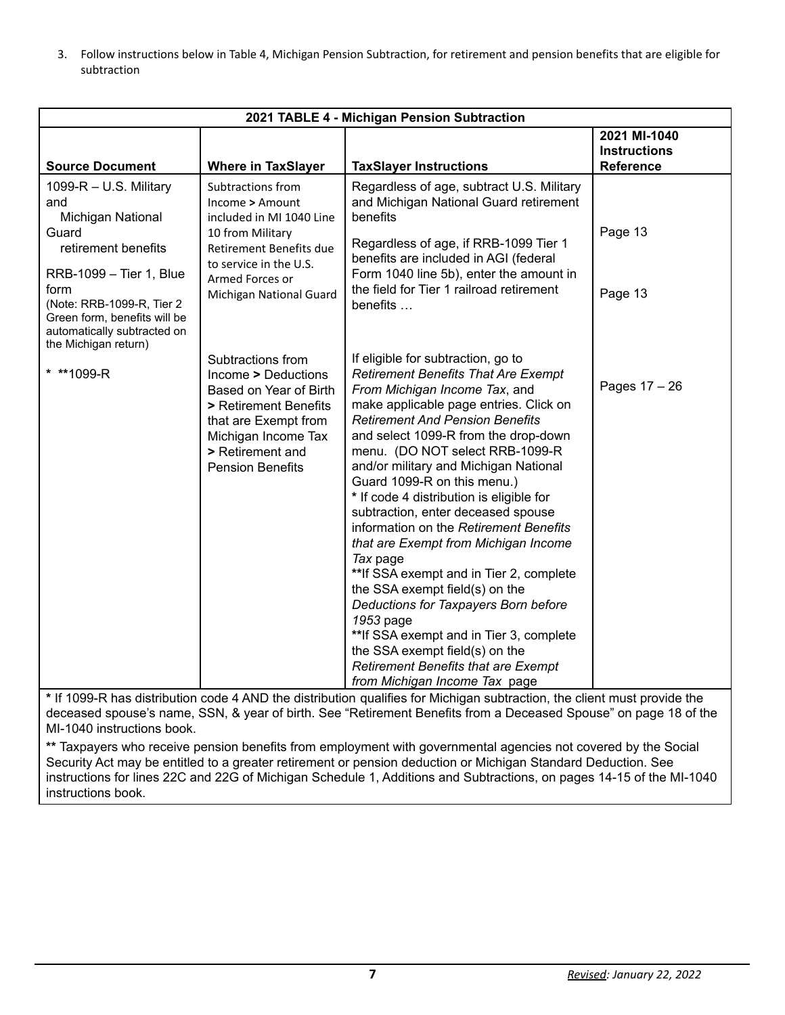3. Follow instructions below in Table 4, Michigan Pension Subtraction, for retirement and pension benefits that are eligible for subtraction

| 2021 TABLE 4 - Michigan Pension Subtraction                                                                                                                                                                                               |                                                                                                                                                                                           |                                                                                                                                                                                                                                                                                                                                                                                                                                                                                                                                                                                                                                                                                                                                                                                                                                         |                                                         |
|-------------------------------------------------------------------------------------------------------------------------------------------------------------------------------------------------------------------------------------------|-------------------------------------------------------------------------------------------------------------------------------------------------------------------------------------------|-----------------------------------------------------------------------------------------------------------------------------------------------------------------------------------------------------------------------------------------------------------------------------------------------------------------------------------------------------------------------------------------------------------------------------------------------------------------------------------------------------------------------------------------------------------------------------------------------------------------------------------------------------------------------------------------------------------------------------------------------------------------------------------------------------------------------------------------|---------------------------------------------------------|
| <b>Source Document</b>                                                                                                                                                                                                                    | <b>Where in TaxSlayer</b>                                                                                                                                                                 | <b>TaxSlayer Instructions</b>                                                                                                                                                                                                                                                                                                                                                                                                                                                                                                                                                                                                                                                                                                                                                                                                           | 2021 MI-1040<br><b>Instructions</b><br><b>Reference</b> |
| 1099-R - U.S. Military<br>and<br>Michigan National<br>Guard<br>retirement benefits<br>RRB-1099 - Tier 1, Blue<br>form<br>(Note: RRB-1099-R, Tier 2<br>Green form, benefits will be<br>automatically subtracted on<br>the Michigan return) | Subtractions from<br>Income > Amount<br>included in MI 1040 Line<br>10 from Military<br>Retirement Benefits due<br>to service in the U.S.<br>Armed Forces or<br>Michigan National Guard   | Regardless of age, subtract U.S. Military<br>and Michigan National Guard retirement<br>benefits<br>Regardless of age, if RRB-1099 Tier 1<br>benefits are included in AGI (federal<br>Form 1040 line 5b), enter the amount in<br>the field for Tier 1 railroad retirement<br>benefits                                                                                                                                                                                                                                                                                                                                                                                                                                                                                                                                                    | Page 13<br>Page 13                                      |
| * ** 1099-R                                                                                                                                                                                                                               | Subtractions from<br>Income > Deductions<br>Based on Year of Birth<br>> Retirement Benefits<br>that are Exempt from<br>Michigan Income Tax<br>> Retirement and<br><b>Pension Benefits</b> | If eligible for subtraction, go to<br><b>Retirement Benefits That Are Exempt</b><br>From Michigan Income Tax, and<br>make applicable page entries. Click on<br><b>Retirement And Pension Benefits</b><br>and select 1099-R from the drop-down<br>menu. (DO NOT select RRB-1099-R<br>and/or military and Michigan National<br>Guard 1099-R on this menu.)<br>* If code 4 distribution is eligible for<br>subtraction, enter deceased spouse<br>information on the Retirement Benefits<br>that are Exempt from Michigan Income<br>Tax page<br>** If SSA exempt and in Tier 2, complete<br>the SSA exempt field(s) on the<br>Deductions for Taxpayers Born before<br>1953 page<br>**If SSA exempt and in Tier 3, complete<br>the SSA exempt field(s) on the<br><b>Retirement Benefits that are Exempt</b><br>from Michigan Income Tax page | Pages 17 - 26                                           |

**\*** If 1099-R has distribution code 4 AND the distribution qualifies for Michigan subtraction, the client must provide the deceased spouse's name, SSN, & year of birth. See "Retirement Benefits from a Deceased Spouse" on page 18 of the MI-1040 instructions book.

**\*\*** Taxpayers who receive pension benefits from employment with governmental agencies not covered by the Social Security Act may be entitled to a greater retirement or pension deduction or Michigan Standard Deduction. See instructions for lines 22C and 22G of Michigan Schedule 1, Additions and Subtractions, on pages 14-15 of the MI-1040 instructions book.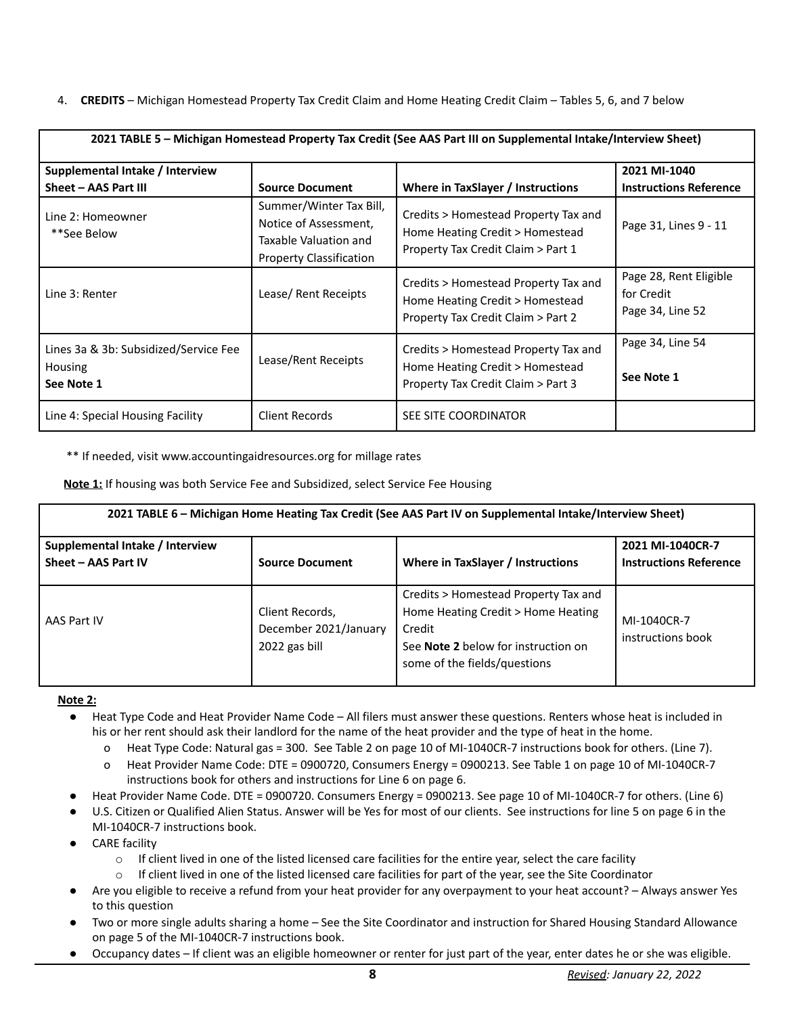4. **CREDITS** – Michigan Homestead Property Tax Credit Claim and Home Heating Credit Claim – Tables 5, 6, and 7 below

| 2021 TABLE 5 - Michigan Homestead Property Tax Credit (See AAS Part III on Supplemental Intake/Interview Sheet) |                                                                                                             |                                                                                                               |                                                          |  |
|-----------------------------------------------------------------------------------------------------------------|-------------------------------------------------------------------------------------------------------------|---------------------------------------------------------------------------------------------------------------|----------------------------------------------------------|--|
| Supplemental Intake / Interview                                                                                 |                                                                                                             |                                                                                                               | 2021 MI-1040                                             |  |
| Sheet - AAS Part III                                                                                            | <b>Source Document</b>                                                                                      | Where in TaxSlayer / Instructions                                                                             | <b>Instructions Reference</b>                            |  |
| Line 2: Homeowner<br>**See Below                                                                                | Summer/Winter Tax Bill,<br>Notice of Assessment,<br>Taxable Valuation and<br><b>Property Classification</b> | Credits > Homestead Property Tax and<br>Home Heating Credit > Homestead<br>Property Tax Credit Claim > Part 1 | Page 31, Lines 9 - 11                                    |  |
| Line 3: Renter                                                                                                  | Lease/ Rent Receipts                                                                                        | Credits > Homestead Property Tax and<br>Home Heating Credit > Homestead<br>Property Tax Credit Claim > Part 2 | Page 28, Rent Eligible<br>for Credit<br>Page 34, Line 52 |  |
| Lines 3a & 3b: Subsidized/Service Fee<br><b>Housing</b><br>See Note 1                                           | Lease/Rent Receipts                                                                                         | Credits > Homestead Property Tax and<br>Home Heating Credit > Homestead<br>Property Tax Credit Claim > Part 3 | Page 34, Line 54<br>See Note 1                           |  |
| Line 4: Special Housing Facility                                                                                | Client Records                                                                                              | SEE SITE COORDINATOR                                                                                          |                                                          |  |

\*\* If needed, visit www.accountingaidresources.org for millage rates

**Note 1:** If housing was both Service Fee and Subsidized, select Service Fee Housing

| 2021 TABLE 6 - Michigan Home Heating Tax Credit (See AAS Part IV on Supplemental Intake/Interview Sheet) |                                                           |                                                                                                                                                             |                                                   |  |
|----------------------------------------------------------------------------------------------------------|-----------------------------------------------------------|-------------------------------------------------------------------------------------------------------------------------------------------------------------|---------------------------------------------------|--|
| Supplemental Intake / Interview<br>Sheet - AAS Part IV                                                   | <b>Source Document</b>                                    | Where in TaxSlayer / Instructions                                                                                                                           | 2021 MI-1040CR-7<br><b>Instructions Reference</b> |  |
| AAS Part IV                                                                                              | Client Records,<br>December 2021/January<br>2022 gas bill | Credits > Homestead Property Tax and<br>Home Heating Credit > Home Heating<br>Credit<br>See Note 2 below for instruction on<br>some of the fields/questions | MI-1040CR-7<br>instructions book                  |  |

# **Note 2:**

- Heat Type Code and Heat Provider Name Code All filers must answer these questions. Renters whose heat is included in his or her rent should ask their landlord for the name of the heat provider and the type of heat in the home.
	- o Heat Type Code: Natural gas = 300. See Table 2 on page 10 of MI-1040CR-7 instructions book for others. (Line 7).
	- o Heat Provider Name Code: DTE = 0900720, Consumers Energy = 0900213. See Table 1 on page 10 of MI-1040CR-7 instructions book for others and instructions for Line 6 on page 6.
	- Heat Provider Name Code. DTE = 0900720. Consumers Energy = 0900213. See page 10 of MI-1040CR-7 for others. (Line 6)
- U.S. Citizen or Qualified Alien Status. Answer will be Yes for most of our clients. See instructions for line 5 on page 6 in the MI-1040CR-7 instructions book.
- **CARE** facility
	- $\circ$  If client lived in one of the listed licensed care facilities for the entire year, select the care facility
	- o If client lived in one of the listed licensed care facilities for part of the year, see the Site Coordinator
- Are you eligible to receive a refund from your heat provider for any overpayment to your heat account? Always answer Yes to this question
- Two or more single adults sharing a home See the Site Coordinator and instruction for Shared Housing Standard Allowance on page 5 of the MI-1040CR-7 instructions book.
- Occupancy dates If client was an eligible homeowner or renter for just part of the year, enter dates he or she was eligible.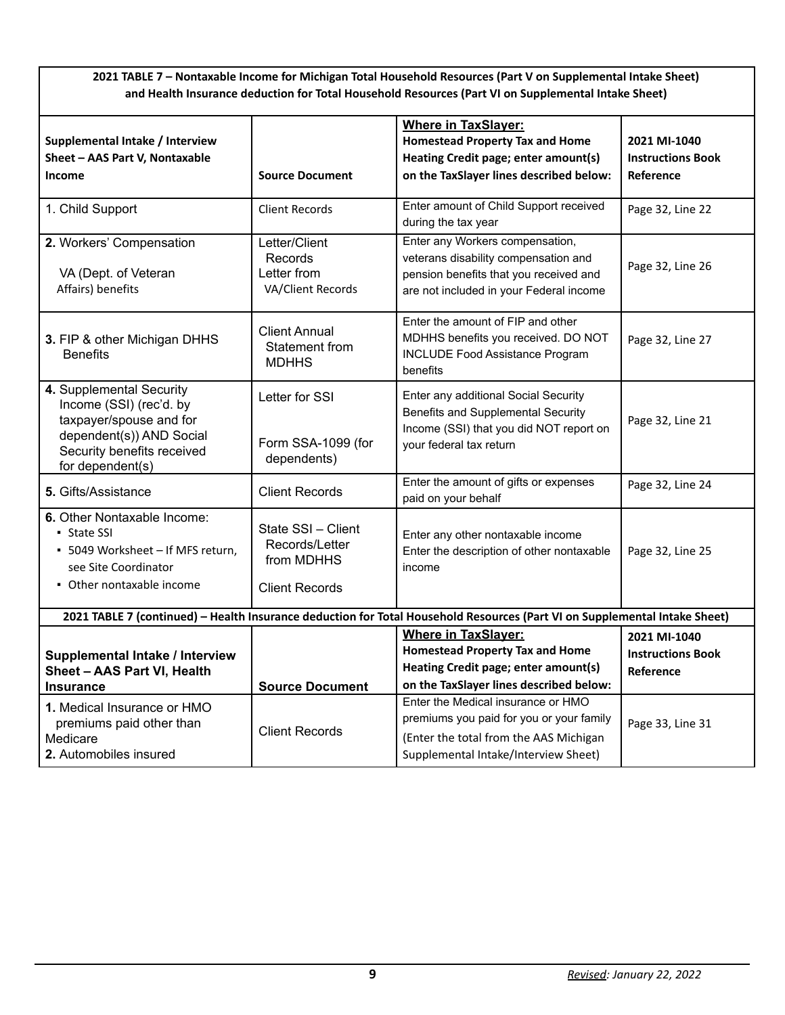|                                                                                                                                                              |                                                                             | 2021 TABLE 7 - Nontaxable Income for Michigan Total Household Resources (Part V on Supplemental Intake Sheet)<br>and Health Insurance deduction for Total Household Resources (Part VI on Supplemental Intake Sheet) |                                                       |
|--------------------------------------------------------------------------------------------------------------------------------------------------------------|-----------------------------------------------------------------------------|----------------------------------------------------------------------------------------------------------------------------------------------------------------------------------------------------------------------|-------------------------------------------------------|
| Supplemental Intake / Interview<br>Sheet - AAS Part V, Nontaxable<br>Income                                                                                  | <b>Source Document</b>                                                      | <b>Where in TaxSlayer:</b><br><b>Homestead Property Tax and Home</b><br>Heating Credit page; enter amount(s)<br>on the TaxSlayer lines described below:                                                              | 2021 MI-1040<br><b>Instructions Book</b><br>Reference |
| 1. Child Support                                                                                                                                             | <b>Client Records</b>                                                       | Enter amount of Child Support received<br>during the tax year                                                                                                                                                        | Page 32, Line 22                                      |
| 2. Workers' Compensation<br>VA (Dept. of Veteran<br>Affairs) benefits                                                                                        | Letter/Client<br>Records<br>Letter from<br>VA/Client Records                | Enter any Workers compensation,<br>veterans disability compensation and<br>pension benefits that you received and<br>are not included in your Federal income                                                         | Page 32, Line 26                                      |
| 3. FIP & other Michigan DHHS<br><b>Benefits</b>                                                                                                              | <b>Client Annual</b><br>Statement from<br><b>MDHHS</b>                      | Enter the amount of FIP and other<br>MDHHS benefits you received. DO NOT<br><b>INCLUDE Food Assistance Program</b><br>benefits                                                                                       | Page 32, Line 27                                      |
| 4. Supplemental Security<br>Income (SSI) (rec'd. by<br>taxpayer/spouse and for<br>dependent(s)) AND Social<br>Security benefits received<br>for dependent(s) | Letter for SSI<br>Form SSA-1099 (for<br>dependents)                         | Enter any additional Social Security<br>Benefits and Supplemental Security<br>Income (SSI) that you did NOT report on<br>your federal tax return                                                                     | Page 32, Line 21                                      |
| 5. Gifts/Assistance                                                                                                                                          | <b>Client Records</b>                                                       | Enter the amount of gifts or expenses<br>paid on your behalf                                                                                                                                                         | Page 32, Line 24                                      |
| 6. Other Nontaxable Income:<br>• State SSI<br>• 5049 Worksheet - If MFS return,<br>see Site Coordinator<br>• Other nontaxable income                         | State SSI - Client<br>Records/Letter<br>from MDHHS<br><b>Client Records</b> | Enter any other nontaxable income<br>Enter the description of other nontaxable<br>income                                                                                                                             | Page 32, Line 25                                      |
|                                                                                                                                                              |                                                                             | 2021 TABLE 7 (continued) - Health Insurance deduction for Total Household Resources (Part VI on Supplemental Intake Sheet)                                                                                           |                                                       |
| Supplemental Intake / Interview<br>Sheet - AAS Part VI, Health<br><b>Insurance</b>                                                                           | <b>Source Document</b>                                                      | <b>Where in TaxSlaver:</b><br><b>Homestead Property Tax and Home</b><br>Heating Credit page; enter amount(s)<br>on the TaxSlayer lines described below:                                                              | 2021 MI-1040<br><b>Instructions Book</b><br>Reference |
| 1. Medical Insurance or HMO<br>premiums paid other than<br>Medicare<br>2. Automobiles insured                                                                | <b>Client Records</b>                                                       | Enter the Medical insurance or HMO<br>premiums you paid for you or your family<br>(Enter the total from the AAS Michigan<br>Supplemental Intake/Interview Sheet)                                                     | Page 33, Line 31                                      |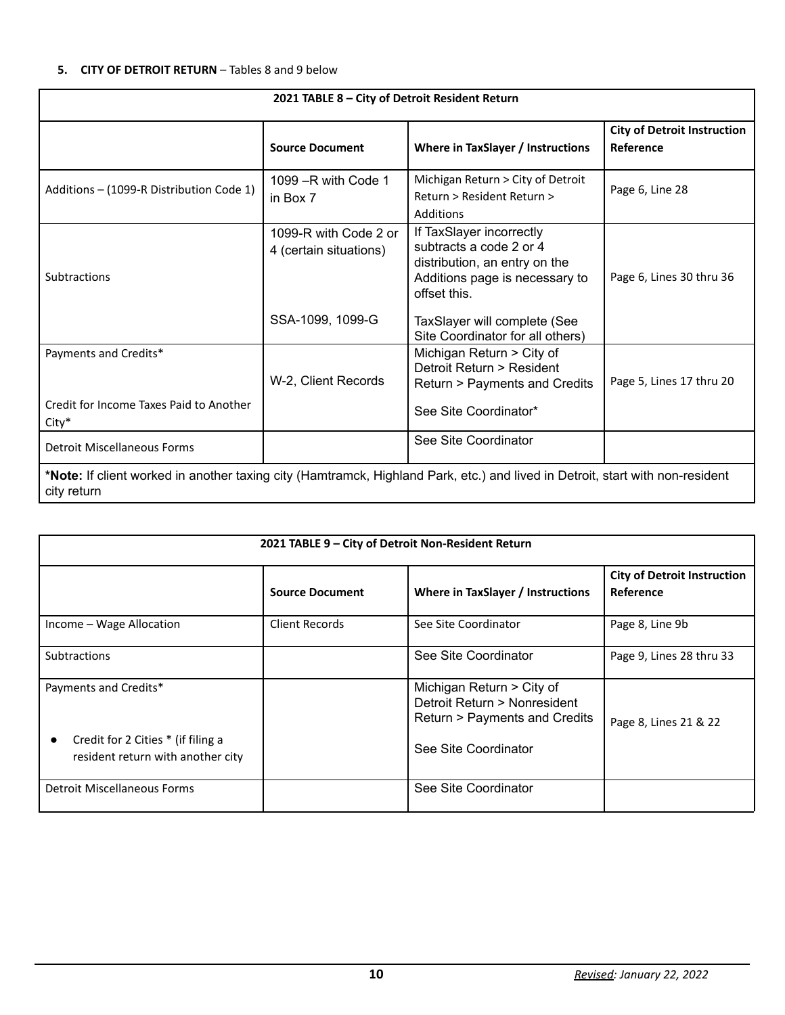# **5. CITY OF DETROIT RETURN** – Tables 8 and 9 below

|                                                                                                                                              | 2021 TABLE 8 - City of Detroit Resident Return  |                                                                                                                                        |                                                 |
|----------------------------------------------------------------------------------------------------------------------------------------------|-------------------------------------------------|----------------------------------------------------------------------------------------------------------------------------------------|-------------------------------------------------|
|                                                                                                                                              | <b>Source Document</b>                          | Where in TaxSlayer / Instructions                                                                                                      | <b>City of Detroit Instruction</b><br>Reference |
| Additions – (1099-R Distribution Code 1)                                                                                                     | 1099 $-R$ with Code 1<br>in Box 7               | Michigan Return > City of Detroit<br>Return > Resident Return ><br>Additions                                                           | Page 6, Line 28                                 |
| <b>Subtractions</b>                                                                                                                          | 1099-R with Code 2 or<br>4 (certain situations) | If TaxSlayer incorrectly<br>subtracts a code 2 or 4<br>distribution, an entry on the<br>Additions page is necessary to<br>offset this. | Page 6, Lines 30 thru 36                        |
|                                                                                                                                              | SSA-1099, 1099-G                                | TaxSlayer will complete (See<br>Site Coordinator for all others)                                                                       |                                                 |
| Payments and Credits*                                                                                                                        | W-2, Client Records                             | Michigan Return > City of<br>Detroit Return > Resident<br>Return > Payments and Credits                                                | Page 5, Lines 17 thru 20                        |
| Credit for Income Taxes Paid to Another<br>$City*$                                                                                           |                                                 | See Site Coordinator*                                                                                                                  |                                                 |
| <b>Detroit Miscellaneous Forms</b>                                                                                                           |                                                 | See Site Coordinator                                                                                                                   |                                                 |
| *Note: If client worked in another taxing city (Hamtramck, Highland Park, etc.) and lived in Detroit, start with non-resident<br>city return |                                                 |                                                                                                                                        |                                                 |

| 2021 TABLE 9 - City of Detroit Non-Resident Return                                               |                        |                                                                                                                    |                                                 |  |
|--------------------------------------------------------------------------------------------------|------------------------|--------------------------------------------------------------------------------------------------------------------|-------------------------------------------------|--|
|                                                                                                  | <b>Source Document</b> | Where in TaxSlayer / Instructions                                                                                  | <b>City of Detroit Instruction</b><br>Reference |  |
| Income - Wage Allocation                                                                         | <b>Client Records</b>  | See Site Coordinator                                                                                               | Page 8, Line 9b                                 |  |
| <b>Subtractions</b>                                                                              |                        | See Site Coordinator                                                                                               | Page 9, Lines 28 thru 33                        |  |
| Payments and Credits*<br>Credit for 2 Cities * (if filing a<br>resident return with another city |                        | Michigan Return > City of<br>Detroit Return > Nonresident<br>Return > Payments and Credits<br>See Site Coordinator | Page 8, Lines 21 & 22                           |  |
| <b>Detroit Miscellaneous Forms</b>                                                               |                        | See Site Coordinator                                                                                               |                                                 |  |